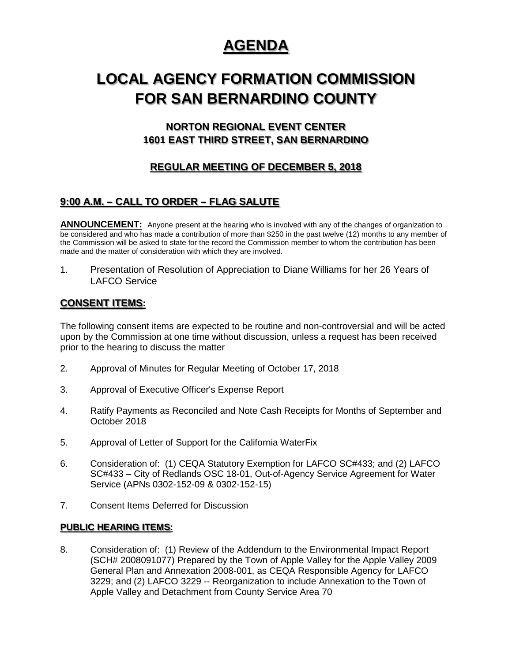# **AGENDA**

# **LOCAL AGENCY FORMATION COMMISSION FOR SAN BERNARDINO COUNTY**

# **NORTON REGIONAL EVENT CENTER 1601 EAST THIRD STREET, SAN BERNARDINO**

## **REGULAR MEETING OF DECEMBER 5, 2018**

## **9:00 A.M. – CALL TO ORDER – FLAG SALUTE**

**ANNOUNCEMENT:** Anyone present at the hearing who is involved with any of the changes of organization to be considered and who has made a contribution of more than \$250 in the past twelve (12) months to any member of the Commission will be asked to state for the record the Commission member to whom the contribution has been made and the matter of consideration with which they are involved.

1. Presentation of Resolution of Appreciation to Diane Williams for her 26 Years of LAFCO Service

## **CONSENT ITEMS:**

The following consent items are expected to be routine and non-controversial and will be acted upon by the Commission at one time without discussion, unless a request has been received prior to the hearing to discuss the matter

- 2. Approval of Minutes for Regular Meeting of October 17, 2018
- 3. Approval of Executive Officer's Expense Report
- 4. Ratify Payments as Reconciled and Note Cash Receipts for Months of September and October 2018
- 5. Approval of Letter of Support for the California WaterFix
- 6. Consideration of: (1) CEQA Statutory Exemption for LAFCO SC#433; and (2) LAFCO SC#433 – City of Redlands OSC 18-01, Out-of-Agency Service Agreement for Water Service (APNs 0302-152-09 & 0302-152-15)
- 7. Consent Items Deferred for Discussion

### **PUBLIC HEARING ITEMS:**

8. Consideration of: (1) Review of the Addendum to the Environmental Impact Report (SCH# 2008091077) Prepared by the Town of Apple Valley for the Apple Valley 2009 General Plan and Annexation 2008-001, as CEQA Responsible Agency for LAFCO 3229; and (2) LAFCO 3229 -- Reorganization to include Annexation to the Town of Apple Valley and Detachment from County Service Area 70